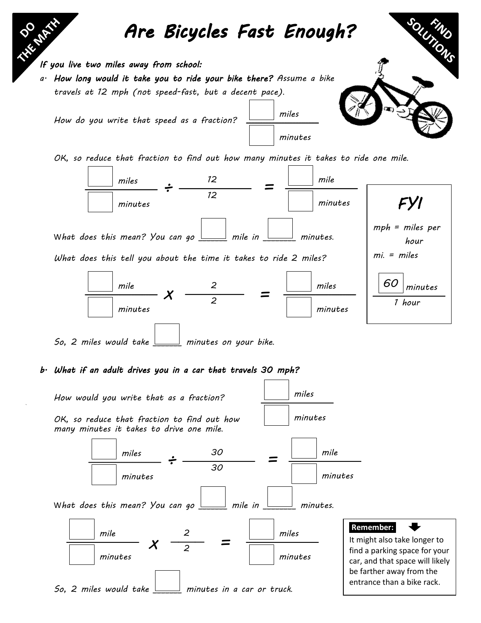## *Are Bicycle Property*<br>*If you live two miles away from school:* SOLUT Are Bicycles Fast Enough?

*a. How long would it take you to ride your bike there? Assume a bike travels at 12 mph (not speed-fast, but a decent pace)*.

*How do you write that speed as a fraction?*



*OK, so reduce that fraction to find out how many minutes it takes to ride one mile*.



*So, 2 miles would take \_\_\_\_\_\_\_ minutes on your bike*.

`

## *b. What if an adult drives you in a car that travels 30 mph?*